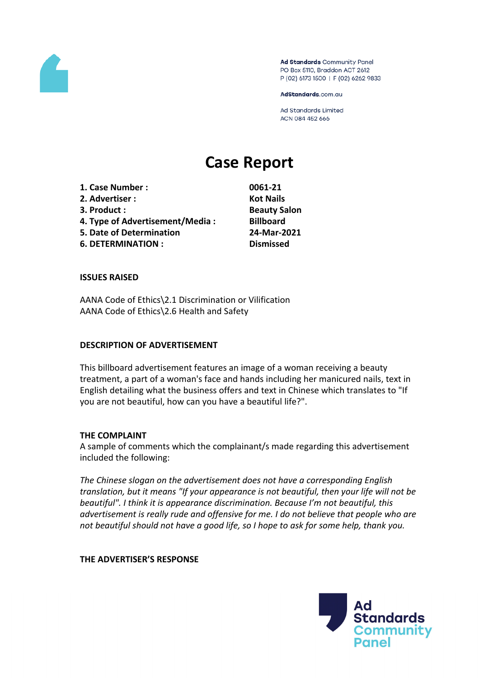

Ad Standards Community Panel PO Box 5110, Braddon ACT 2612 P (02) 6173 1500 | F (02) 6262 9833

AdStandards.com.au

**Ad Standards Limited** ACN 084 452 666

# **Case Report**

**1. Case Number : 0061-21 2. Advertiser : Kot Nails 3. Product : Beauty Salon 4. Type of Advertisement/Media : Billboard 5. Date of Determination 24-Mar-2021 6. DETERMINATION : Dismissed**

#### **ISSUES RAISED**

AANA Code of Ethics\2.1 Discrimination or Vilification AANA Code of Ethics\2.6 Health and Safety

#### **DESCRIPTION OF ADVERTISEMENT**

This billboard advertisement features an image of a woman receiving a beauty treatment, a part of a woman's face and hands including her manicured nails, text in English detailing what the business offers and text in Chinese which translates to "If you are not beautiful, how can you have a beautiful life?".

## **THE COMPLAINT**

A sample of comments which the complainant/s made regarding this advertisement included the following:

*The Chinese slogan on the advertisement does not have a corresponding English translation, but it means "If your appearance is not beautiful, then your life will not be beautiful". I think it is appearance discrimination. Because I'm not beautiful, this advertisement is really rude and offensive for me. I do not believe that people who are not beautiful should not have a good life, so I hope to ask for some help, thank you.*

#### **THE ADVERTISER'S RESPONSE**

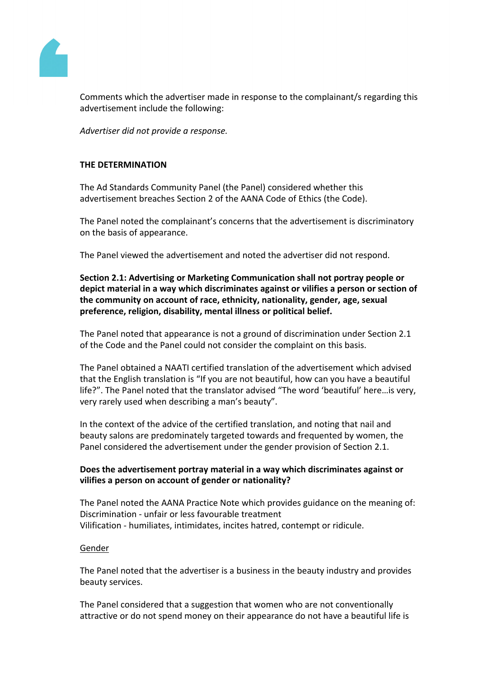

Comments which the advertiser made in response to the complainant/s regarding this advertisement include the following:

*Advertiser did not provide a response.*

## **THE DETERMINATION**

The Ad Standards Community Panel (the Panel) considered whether this advertisement breaches Section 2 of the AANA Code of Ethics (the Code).

The Panel noted the complainant's concerns that the advertisement is discriminatory on the basis of appearance.

The Panel viewed the advertisement and noted the advertiser did not respond.

**Section 2.1: Advertising or Marketing Communication shall not portray people or depict material in a way which discriminates against or vilifies a person or section of the community on account of race, ethnicity, nationality, gender, age, sexual preference, religion, disability, mental illness or political belief.**

The Panel noted that appearance is not a ground of discrimination under Section 2.1 of the Code and the Panel could not consider the complaint on this basis.

The Panel obtained a NAATI certified translation of the advertisement which advised that the English translation is "If you are not beautiful, how can you have a beautiful life?". The Panel noted that the translator advised "The word 'beautiful' here…is very, very rarely used when describing a man's beauty".

In the context of the advice of the certified translation, and noting that nail and beauty salons are predominately targeted towards and frequented by women, the Panel considered the advertisement under the gender provision of Section 2.1.

# **Does the advertisement portray material in a way which discriminates against or vilifies a person on account of gender or nationality?**

The Panel noted the AANA Practice Note which provides guidance on the meaning of: Discrimination - unfair or less favourable treatment Vilification - humiliates, intimidates, incites hatred, contempt or ridicule.

## Gender

The Panel noted that the advertiser is a business in the beauty industry and provides beauty services.

The Panel considered that a suggestion that women who are not conventionally attractive or do not spend money on their appearance do not have a beautiful life is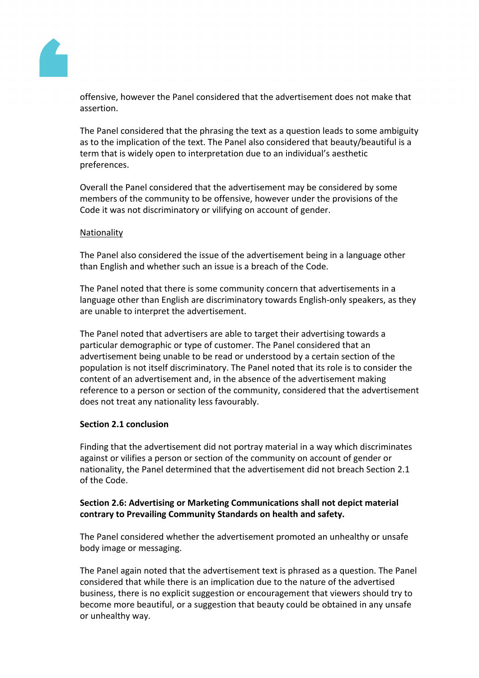

offensive, however the Panel considered that the advertisement does not make that assertion.

The Panel considered that the phrasing the text as a question leads to some ambiguity as to the implication of the text. The Panel also considered that beauty/beautiful is a term that is widely open to interpretation due to an individual's aesthetic preferences.

Overall the Panel considered that the advertisement may be considered by some members of the community to be offensive, however under the provisions of the Code it was not discriminatory or vilifying on account of gender.

## Nationality

The Panel also considered the issue of the advertisement being in a language other than English and whether such an issue is a breach of the Code.

The Panel noted that there is some community concern that advertisements in a language other than English are discriminatory towards English-only speakers, as they are unable to interpret the advertisement.

The Panel noted that advertisers are able to target their advertising towards a particular demographic or type of customer. The Panel considered that an advertisement being unable to be read or understood by a certain section of the population is not itself discriminatory. The Panel noted that its role is to consider the content of an advertisement and, in the absence of the advertisement making reference to a person or section of the community, considered that the advertisement does not treat any nationality less favourably.

## **Section 2.1 conclusion**

Finding that the advertisement did not portray material in a way which discriminates against or vilifies a person or section of the community on account of gender or nationality, the Panel determined that the advertisement did not breach Section 2.1 of the Code.

# **Section 2.6: Advertising or Marketing Communications shall not depict material contrary to Prevailing Community Standards on health and safety.**

The Panel considered whether the advertisement promoted an unhealthy or unsafe body image or messaging.

The Panel again noted that the advertisement text is phrased as a question. The Panel considered that while there is an implication due to the nature of the advertised business, there is no explicit suggestion or encouragement that viewers should try to become more beautiful, or a suggestion that beauty could be obtained in any unsafe or unhealthy way.